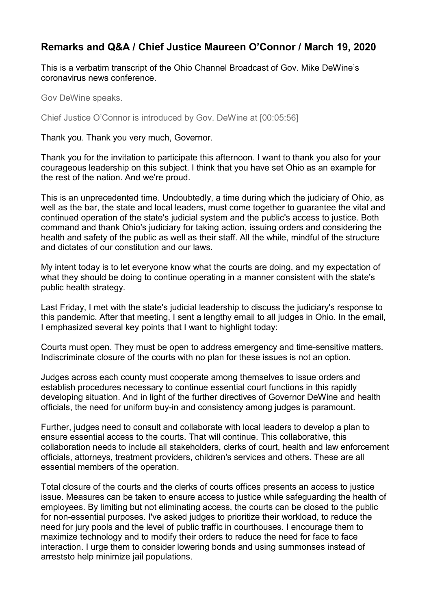## **Remarks and Q&A / Chief Justice Maureen O'Connor / March 19, 2020**

This is a verbatim transcript of the Ohio Channel Broadcast of Gov. Mike DeWine's coronavirus news conference.

Gov DeWine speaks.

Chief Justice O'Connor is introduced by Gov. DeWine at [00:05:56]

Thank you. Thank you very much, Governor.

Thank you for the invitation to participate this afternoon. I want to thank you also for your courageous leadership on this subject. I think that you have set Ohio as an example for the rest of the nation. And we're proud.

This is an unprecedented time. Undoubtedly, a time during which the judiciary of Ohio, as well as the bar, the state and local leaders, must come together to guarantee the vital and continued operation of the state's judicial system and the public's access to justice. Both command and thank Ohio's judiciary for taking action, issuing orders and considering the health and safety of the public as well as their staff. All the while, mindful of the structure and dictates of our constitution and our laws.

My intent today is to let everyone know what the courts are doing, and my expectation of what they should be doing to continue operating in a manner consistent with the state's public health strategy.

Last Friday, I met with the state's judicial leadership to discuss the judiciary's response to this pandemic. After that meeting, I sent a lengthy email to all judges in Ohio. In the email, I emphasized several key points that I want to highlight today:

Courts must open. They must be open to address emergency and time-sensitive matters. Indiscriminate closure of the courts with no plan for these issues is not an option.

Judges across each county must cooperate among themselves to issue orders and establish procedures necessary to continue essential court functions in this rapidly developing situation. And in light of the further directives of Governor DeWine and health officials, the need for uniform buy-in and consistency among judges is paramount.

Further, judges need to consult and collaborate with local leaders to develop a plan to ensure essential access to the courts. That will continue. This collaborative, this collaboration needs to include all stakeholders, clerks of court, health and law enforcement officials, attorneys, treatment providers, children's services and others. These are all essential members of the operation.

Total closure of the courts and the clerks of courts offices presents an access to justice issue. Measures can be taken to ensure access to justice while safeguarding the health of employees. By limiting but not eliminating access, the courts can be closed to the public for non-essential purposes. I've asked judges to prioritize their workload, to reduce the need for jury pools and the level of public traffic in courthouses. I encourage them to maximize technology and to modify their orders to reduce the need for face to face interaction. I urge them to consider lowering bonds and using summonses instead of arreststo help minimize jail populations.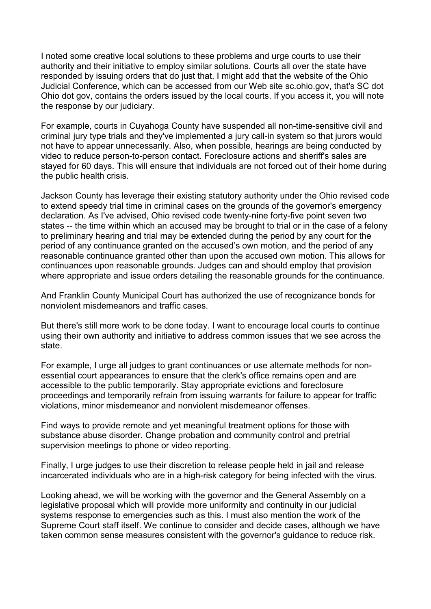I noted some creative local solutions to these problems and urge courts to use their authority and their initiative to employ similar solutions. Courts all over the state have responded by issuing orders that do just that. I might add that the website of the Ohio Judicial Conference, which can be accessed from our Web site sc.ohio.gov, that's SC dot Ohio dot gov, contains the orders issued by the local courts. If you access it, you will note the response by our judiciary.

For example, courts in Cuyahoga County have suspended all non-time-sensitive civil and criminal jury type trials and they've implemented a jury call-in system so that jurors would not have to appear unnecessarily. Also, when possible, hearings are being conducted by video to reduce person-to-person contact. Foreclosure actions and sheriff's sales are stayed for 60 days. This will ensure that individuals are not forced out of their home during the public health crisis.

Jackson County has leverage their existing statutory authority under the Ohio revised code to extend speedy trial time in criminal cases on the grounds of the governor's emergency declaration. As I've advised, Ohio revised code twenty-nine forty-five point seven two states -- the time within which an accused may be brought to trial or in the case of a felony to preliminary hearing and trial may be extended during the period by any court for the period of any continuance granted on the accused's own motion, and the period of any reasonable continuance granted other than upon the accused own motion. This allows for continuances upon reasonable grounds. Judges can and should employ that provision where appropriate and issue orders detailing the reasonable grounds for the continuance.

And Franklin County Municipal Court has authorized the use of recognizance bonds for nonviolent misdemeanors and traffic cases.

But there's still more work to be done today. I want to encourage local courts to continue using their own authority and initiative to address common issues that we see across the state.

For example, I urge all judges to grant continuances or use alternate methods for nonessential court appearances to ensure that the clerk's office remains open and are accessible to the public temporarily. Stay appropriate evictions and foreclosure proceedings and temporarily refrain from issuing warrants for failure to appear for traffic violations, minor misdemeanor and nonviolent misdemeanor offenses.

Find ways to provide remote and yet meaningful treatment options for those with substance abuse disorder. Change probation and community control and pretrial supervision meetings to phone or video reporting.

Finally, I urge judges to use their discretion to release people held in jail and release incarcerated individuals who are in a high-risk category for being infected with the virus.

Looking ahead, we will be working with the governor and the General Assembly on a legislative proposal which will provide more uniformity and continuity in our judicial systems response to emergencies such as this. I must also mention the work of the Supreme Court staff itself. We continue to consider and decide cases, although we have taken common sense measures consistent with the governor's guidance to reduce risk.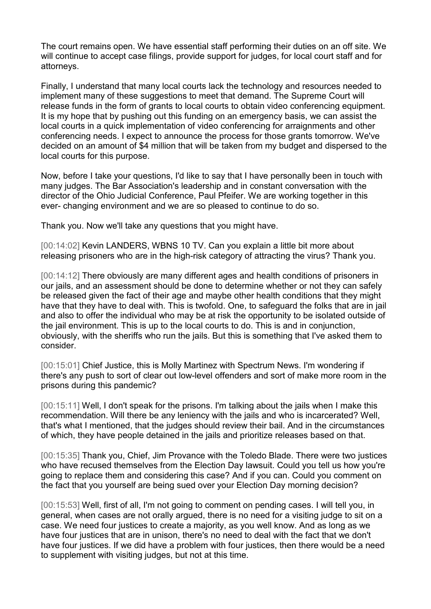The court remains open. We have essential staff performing their duties on an off site. We will continue to accept case filings, provide support for judges, for local court staff and for attorneys.

Finally, I understand that many local courts lack the technology and resources needed to implement many of these suggestions to meet that demand. The Supreme Court will release funds in the form of grants to local courts to obtain video conferencing equipment. It is my hope that by pushing out this funding on an emergency basis, we can assist the local courts in a quick implementation of video conferencing for arraignments and other conferencing needs. I expect to announce the process for those grants tomorrow. We've decided on an amount of \$4 million that will be taken from my budget and dispersed to the local courts for this purpose.

Now, before I take your questions, I'd like to say that I have personally been in touch with many judges. The Bar Association's leadership and in constant conversation with the director of the Ohio Judicial Conference, Paul Pfeifer. We are working together in this ever- changing environment and we are so pleased to continue to do so.

Thank you. Now we'll take any questions that you might have.

[00:14:02] Kevin LANDERS, WBNS 10 TV. Can you explain a little bit more about releasing prisoners who are in the high-risk category of attracting the virus? Thank you.

[00:14:12] There obviously are many different ages and health conditions of prisoners in our jails, and an assessment should be done to determine whether or not they can safely be released given the fact of their age and maybe other health conditions that they might have that they have to deal with. This is twofold. One, to safeguard the folks that are in jail and also to offer the individual who may be at risk the opportunity to be isolated outside of the jail environment. This is up to the local courts to do. This is and in conjunction, obviously, with the sheriffs who run the jails. But this is something that I've asked them to consider.

[00:15:01] Chief Justice, this is Molly Martinez with Spectrum News. I'm wondering if there's any push to sort of clear out low-level offenders and sort of make more room in the prisons during this pandemic?

[00:15:11] Well, I don't speak for the prisons. I'm talking about the jails when I make this recommendation. Will there be any leniency with the jails and who is incarcerated? Well, that's what I mentioned, that the judges should review their bail. And in the circumstances of which, they have people detained in the jails and prioritize releases based on that.

[00:15:35] Thank you, Chief, Jim Provance with the Toledo Blade. There were two justices who have recused themselves from the Election Day lawsuit. Could you tell us how you're going to replace them and considering this case? And if you can. Could you comment on the fact that you yourself are being sued over your Election Day morning decision?

[00:15:53] Well, first of all, I'm not going to comment on pending cases. I will tell you, in general, when cases are not orally argued, there is no need for a visiting judge to sit on a case. We need four justices to create a majority, as you well know. And as long as we have four justices that are in unison, there's no need to deal with the fact that we don't have four justices. If we did have a problem with four justices, then there would be a need to supplement with visiting judges, but not at this time.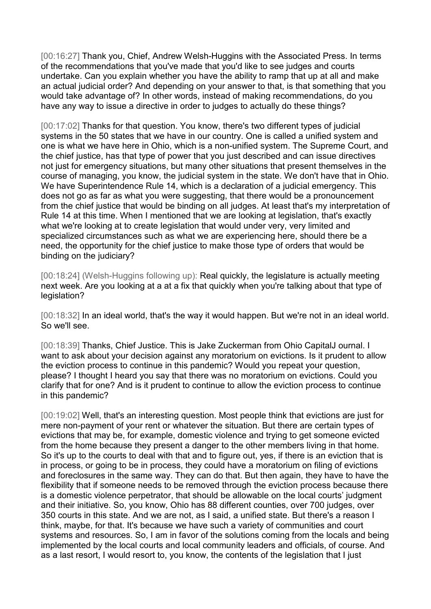[00:16:27] Thank you, Chief, Andrew Welsh-Huggins with the Associated Press. In terms of the recommendations that you've made that you'd like to see judges and courts undertake. Can you explain whether you have the ability to ramp that up at all and make an actual judicial order? And depending on your answer to that, is that something that you would take advantage of? In other words, instead of making recommendations, do you have any way to issue a directive in order to judges to actually do these things?

[00:17:02] Thanks for that question. You know, there's two different types of judicial systems in the 50 states that we have in our country. One is called a unified system and one is what we have here in Ohio, which is a non-unified system. The Supreme Court, and the chief justice, has that type of power that you just described and can issue directives not just for emergency situations, but many other situations that present themselves in the course of managing, you know, the judicial system in the state. We don't have that in Ohio. We have Superintendence Rule 14, which is a declaration of a judicial emergency. This does not go as far as what you were suggesting, that there would be a pronouncement from the chief justice that would be binding on all judges. At least that's my interpretation of Rule 14 at this time. When I mentioned that we are looking at legislation, that's exactly what we're looking at to create legislation that would under very, very limited and specialized circumstances such as what we are experiencing here, should there be a need, the opportunity for the chief justice to make those type of orders that would be binding on the judiciary?

[00:18:24] (Welsh-Huggins following up): Real quickly, the legislature is actually meeting next week. Are you looking at a at a fix that quickly when you're talking about that type of legislation?

[00:18:32] In an ideal world, that's the way it would happen. But we're not in an ideal world. So we'll see.

[00:18:39] Thanks, Chief Justice. This is Jake Zuckerman from Ohio CapitalJ ournal. I want to ask about your decision against any moratorium on evictions. Is it prudent to allow the eviction process to continue in this pandemic? Would you repeat your question, please? I thought I heard you say that there was no moratorium on evictions. Could you clarify that for one? And is it prudent to continue to allow the eviction process to continue in this pandemic?

[00:19:02] Well, that's an interesting question. Most people think that evictions are just for mere non-payment of your rent or whatever the situation. But there are certain types of evictions that may be, for example, domestic violence and trying to get someone evicted from the home because they present a danger to the other members living in that home. So it's up to the courts to deal with that and to figure out, yes, if there is an eviction that is in process, or going to be in process, they could have a moratorium on filing of evictions and foreclosures in the same way. They can do that. But then again, they have to have the flexibility that if someone needs to be removed through the eviction process because there is a domestic violence perpetrator, that should be allowable on the local courts' judgment and their initiative. So, you know, Ohio has 88 different counties, over 700 judges, over 350 courts in this state. And we are not, as I said, a unified state. But there's a reason I think, maybe, for that. It's because we have such a variety of communities and court systems and resources. So, I am in favor of the solutions coming from the locals and being implemented by the local courts and local community leaders and officials, of course. And as a last resort, I would resort to, you know, the contents of the legislation that I just